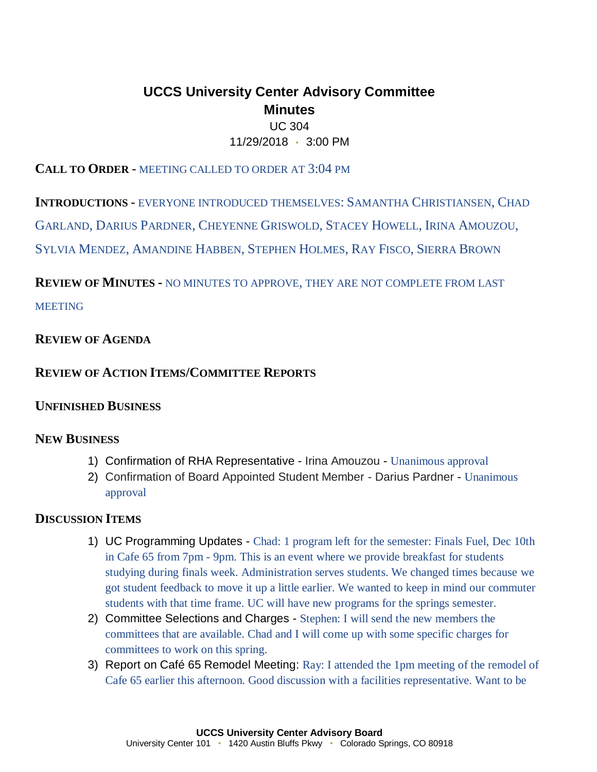# **UCCS University Center Advisory Committee Minutes**

## UC 304 11/29/2018 • 3:00 PM

## **CALL TO ORDER** - MEETING CALLED TO ORDER AT 3:04 PM

**INTRODUCTIONS** - EVERYONE INTRODUCED THEMSELVES: SAMANTHA CHRISTIANSEN, CHAD

GARLAND, DARIUS PARDNER, CHEYENNE GRISWOLD, STACEY HOWELL, IRINA AMOUZOU,

SYLVIA MENDEZ, AMANDINE HABBEN, STEPHEN HOLMES, RAY FISCO, SIERRA BROWN

**REVIEW OF MINUTES -** NO MINUTES TO APPROVE, THEY ARE NOT COMPLETE FROM LAST

**MEETING** 

# **REVIEW OF AGENDA**

# **REVIEW OF ACTION ITEMS/COMMITTEE REPORTS**

# **UNFINISHED BUSINESS**

## **NEW BUSINESS**

- 1) Confirmation of RHA Representative Irina Amouzou Unanimous approval
- 2) Confirmation of Board Appointed Student Member Darius Pardner Unanimous approval

# **DISCUSSION ITEMS**

- 1) UC Programming Updates Chad: 1 program left for the semester: Finals Fuel, Dec 10th in Cafe 65 from 7pm - 9pm. This is an event where we provide breakfast for students studying during finals week. Administration serves students. We changed times because we got student feedback to move it up a little earlier. We wanted to keep in mind our commuter students with that time frame. UC will have new programs for the springs semester.
- 2) Committee Selections and Charges Stephen: I will send the new members the committees that are available. Chad and I will come up with some specific charges for committees to work on this spring.
- 3) Report on Café 65 Remodel Meeting: Ray: I attended the 1pm meeting of the remodel of Cafe 65 earlier this afternoon. Good discussion with a facilities representative. Want to be